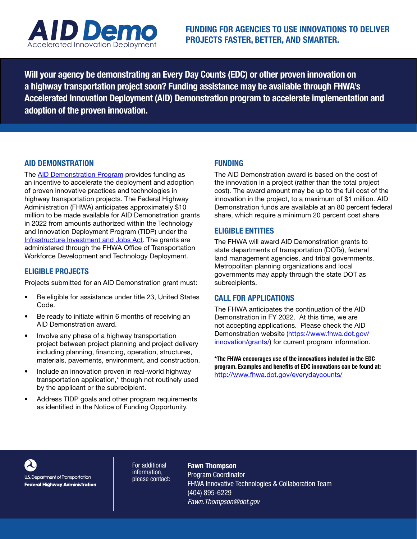

Will your agency be demonstrating an Every Day Counts (EDC) or other proven innovation on a highway transportation project soon? Funding assistance may be available through FHWA's Accelerated Innovation Deployment (AID) Demonstration program to accelerate implementation and adoption of the proven innovation.

## AID DEMONSTRATION

The **AID Demonstration Program** provides funding as an incentive to accelerate the deployment and adoption of proven innovative practices and technologies in highway transportation projects. The Federal Highway Administration (FHWA) anticipates approximately \$10 million to be made available for AID Demonstration grants in 2022 from amounts authorized within the Technology and Innovation Deployment Program (TIDP) under the [Infrastructure Investment and Jobs Act.](https://www.fhwa.dot.gov/bipartisan-infrastructure-law/) The grants are administered through the FHWA Office of Transportation Workforce Development and Technology Deployment.

## ELIGIBLE PROJECTS

Projects submitted for an AID Demonstration grant must:

- Be eligible for assistance under title 23, United States Code.
- Be ready to initiate within 6 months of receiving an AID Demonstration award.
- Involve any phase of a highway transportation project between project planning and project delivery including planning, financing, operation, structures, materials, pavements, environment, and construction.
- Include an innovation proven in real-world highway transportation application,\* though not routinely used by the applicant or the subrecipient.
- Address TIDP goals and other program requirements as identified in the Notice of Funding Opportunity.

# FUNDING

The AID Demonstration award is based on the cost of the innovation in a project (rather than the total project cost). The award amount may be up to the full cost of the innovation in the project, to a maximum of \$1 million. AID Demonstration funds are available at an 80 percent federal share, which require a minimum 20 percent cost share.

# ELIGIBLE ENTITIES

The FHWA will award AID Demonstration grants to state departments of transportation (DOTs), federal land management agencies, and tribal governments. Metropolitan planning organizations and local governments may apply through the state DOT as subrecipients.

## CALL FOR APPLICATIONS

The FHWA anticipates the continuation of the AID Demonstration in FY 2022. At this time, we are not accepting applications. Please check the AID Demonstration website ([https://www.fhwa.dot.gov/](https://www.fhwa.dot.gov/innovation/grants/) [innovation/grants/\)](https://www.fhwa.dot.gov/innovation/grants/) for current program information.

\*The FHWA encourages use of the innovations included in the EDC program. Examples and benefits of EDC innovations can be found at: <http://www.fhwa.dot.gov/everydaycounts/>



U.S. Department of Transportation **Federal Highway Administration** 

For additional information, please contact: Fawn Thompson Program Coordinator FHWA Innovative Technologies & Collaboration Team (404) 895-6229 *[Fawn.Thompson@dot.gov](mailto:Fawn.Thompson%40dot.gov?subject=)*